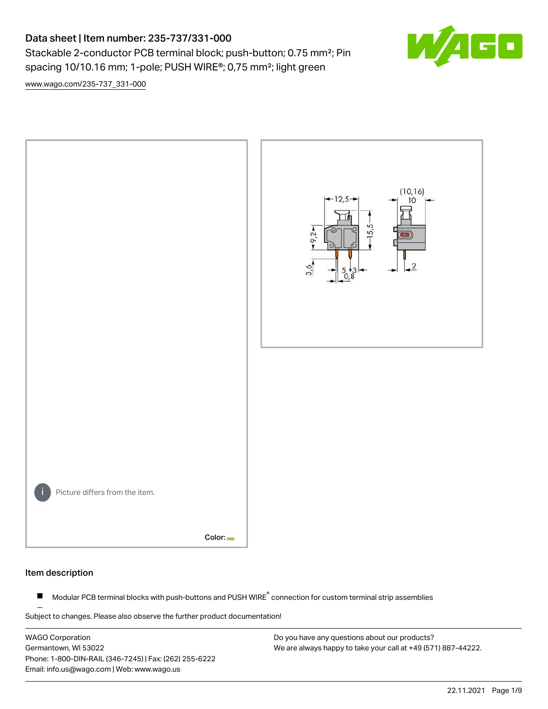Stackable 2-conductor PCB terminal block; push-button; 0.75 mm<sup>2</sup>; Pin spacing 10/10.16 mm; 1-pole; PUSH WIRE®; 0,75 mm²; light green



[www.wago.com/235-737\\_331-000](http://www.wago.com/235-737_331-000)



#### Item description

Modular PCB terminal blocks with push-buttons and PUSH WIRE<sup>®</sup> connection for custom terminal strip assemblies  $\blacksquare$ 

Subject to changes. Please also observe the further product documentation!

WAGO Corporation Germantown, WI 53022 Phone: 1-800-DIN-RAIL (346-7245) | Fax: (262) 255-6222 Email: info.us@wago.com | Web: www.wago.us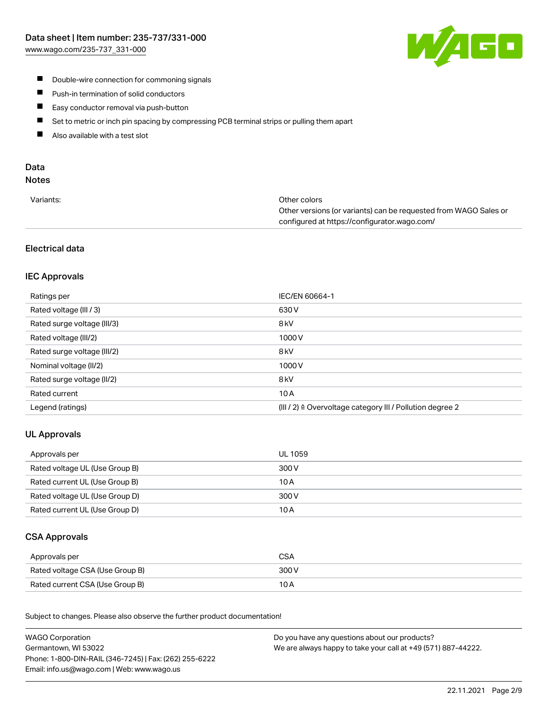

- **Double-wire connection for commoning signals**
- $\blacksquare$ Push-in termination of solid conductors
- Easy conductor removal via push-button  $\blacksquare$
- $\blacksquare$ Set to metric or inch pin spacing by compressing PCB terminal strips or pulling them apart
- $\blacksquare$ Also available with a test slot

# Data

## Notes

| Variants: | Other colors                                                     |
|-----------|------------------------------------------------------------------|
|           | Other versions (or variants) can be requested from WAGO Sales or |
|           | configured at https://configurator.wago.com/                     |

## Electrical data

## IEC Approvals

| Ratings per                 | IEC/EN 60664-1                                                       |
|-----------------------------|----------------------------------------------------------------------|
| Rated voltage (III / 3)     | 630 V                                                                |
| Rated surge voltage (III/3) | 8 <sub>kV</sub>                                                      |
| Rated voltage (III/2)       | 1000V                                                                |
| Rated surge voltage (III/2) | 8 <sub>kV</sub>                                                      |
| Nominal voltage (II/2)      | 1000V                                                                |
| Rated surge voltage (II/2)  | 8 <sub>kV</sub>                                                      |
| Rated current               | 10A                                                                  |
| Legend (ratings)            | (III / 2) $\triangleq$ Overvoltage category III / Pollution degree 2 |

## UL Approvals

| Approvals per                  | UL 1059 |
|--------------------------------|---------|
| Rated voltage UL (Use Group B) | 300 V   |
| Rated current UL (Use Group B) | 10 A    |
| Rated voltage UL (Use Group D) | 300 V   |
| Rated current UL (Use Group D) | 10 A    |

## CSA Approvals

| Approvals per                   | CSA   |
|---------------------------------|-------|
| Rated voltage CSA (Use Group B) | 300 V |
| Rated current CSA (Use Group B) | 10 A  |

.<br>Subject to changes. Please also observe the further product documentation!

| <b>WAGO Corporation</b>                                | Do you have any questions about our products?                 |
|--------------------------------------------------------|---------------------------------------------------------------|
| Germantown, WI 53022                                   | We are always happy to take your call at +49 (571) 887-44222. |
| Phone: 1-800-DIN-RAIL (346-7245)   Fax: (262) 255-6222 |                                                               |
| Email: info.us@wago.com   Web: www.wago.us             |                                                               |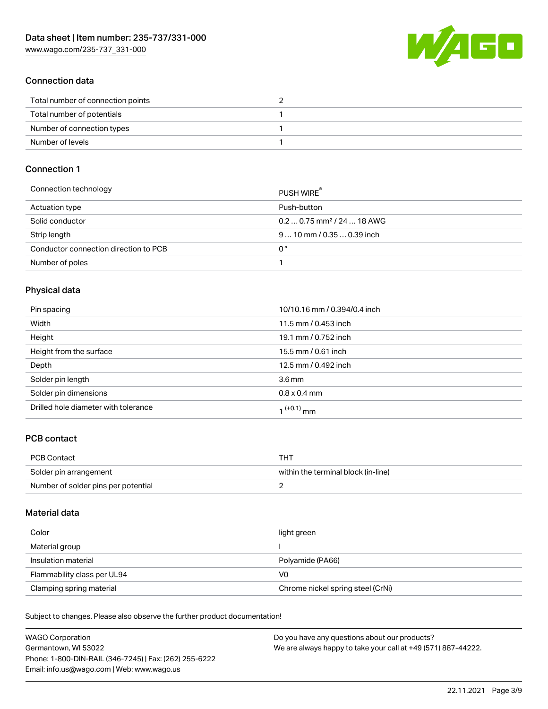W/4GO

### Connection data

| Total number of connection points |  |
|-----------------------------------|--|
| Total number of potentials        |  |
| Number of connection types        |  |
| Number of levels                  |  |

#### Connection 1

| Connection technology                 | PUSH WIRE                              |
|---------------------------------------|----------------------------------------|
| Actuation type                        | Push-button                            |
| Solid conductor                       | $0.20.75$ mm <sup>2</sup> / 24  18 AWG |
| Strip length                          | $910$ mm $/0.350.39$ inch              |
| Conductor connection direction to PCB | 0°                                     |
| Number of poles                       |                                        |

## Physical data

| Pin spacing                          | 10/10.16 mm / 0.394/0.4 inch |
|--------------------------------------|------------------------------|
| Width                                | 11.5 mm / 0.453 inch         |
| Height                               | 19.1 mm / 0.752 inch         |
| Height from the surface              | 15.5 mm / 0.61 inch          |
| Depth                                | 12.5 mm / 0.492 inch         |
| Solder pin length                    | $3.6 \,\mathrm{mm}$          |
| Solder pin dimensions                | $0.8 \times 0.4$ mm          |
| Drilled hole diameter with tolerance | 1 <sup>(+0.1)</sup> mm       |

## PCB contact

| <b>PCB Contact</b>                  | THT                                 |
|-------------------------------------|-------------------------------------|
| Solder pin arrangement              | within the terminal block (in-line) |
| Number of solder pins per potential |                                     |

#### Material data

| Color                       | light green                       |
|-----------------------------|-----------------------------------|
| Material group              |                                   |
| Insulation material         | Polyamide (PA66)                  |
| Flammability class per UL94 | V0                                |
| Clamping spring material    | Chrome nickel spring steel (CrNi) |

Subject to changes. Please also observe the further product documentation!

| <b>WAGO Corporation</b>                                | Do you have any questions about our products?                 |
|--------------------------------------------------------|---------------------------------------------------------------|
| Germantown, WI 53022                                   | We are always happy to take your call at +49 (571) 887-44222. |
| Phone: 1-800-DIN-RAIL (346-7245)   Fax: (262) 255-6222 |                                                               |
| Email: info.us@wago.com   Web: www.wago.us             |                                                               |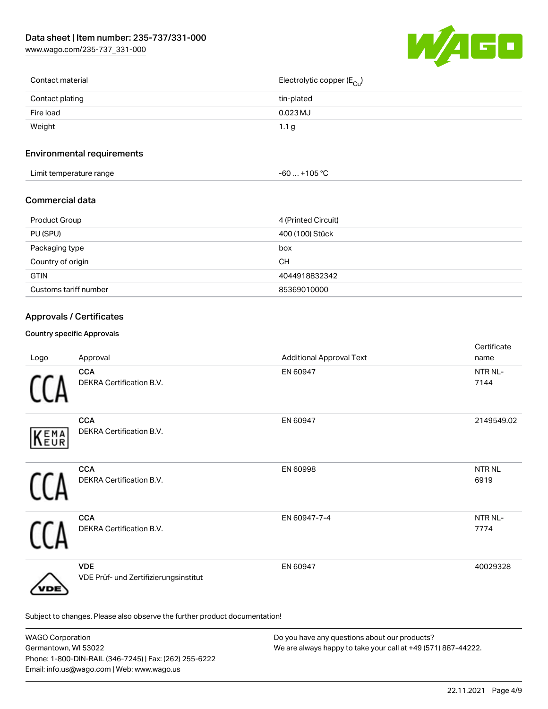[www.wago.com/235-737\\_331-000](http://www.wago.com/235-737_331-000)



| Contact material | Electrolytic copper (E <sub>Cu</sub> ) |
|------------------|----------------------------------------|
| Contact plating  | tin-plated                             |
| Fire load        | $0.023$ MJ                             |
| Weight           | 1.1 <sub>g</sub>                       |
|                  |                                        |

## Environmental requirements

| .<br>t temperature range<br>_imit <sup>.</sup><br>. . | ∙105 °C<br>-60 |  |
|-------------------------------------------------------|----------------|--|
|-------------------------------------------------------|----------------|--|

## Commercial data

| Product Group         | 4 (Printed Circuit) |
|-----------------------|---------------------|
| PU (SPU)              | 400 (100) Stück     |
| Packaging type        | box                 |
| Country of origin     | CН                  |
| <b>GTIN</b>           | 4044918832342       |
| Customs tariff number | 85369010000         |

# Approvals / Certificates

#### Country specific Approvals

| Logo | Approval                                                                   | <b>Additional Approval Text</b> | Certificate<br>name         |
|------|----------------------------------------------------------------------------|---------------------------------|-----------------------------|
|      | <b>CCA</b><br>DEKRA Certification B.V.                                     | EN 60947                        | NTR <sub>NL</sub> -<br>7144 |
| KEMA | <b>CCA</b><br>DEKRA Certification B.V.                                     | EN 60947                        | 2149549.02                  |
|      | <b>CCA</b><br>DEKRA Certification B.V.                                     | EN 60998                        | <b>NTRNL</b><br>6919        |
|      | <b>CCA</b><br>DEKRA Certification B.V.                                     | EN 60947-7-4                    | NTR NL-<br>7774             |
| /DE  | <b>VDE</b><br>VDE Prüf- und Zertifizierungsinstitut                        | EN 60947                        | 40029328                    |
|      | Subject to changes. Please also observe the further product documentation! |                                 |                             |

| <b>WAGO Corporation</b>                                | Do you have any questions about our products?                 |
|--------------------------------------------------------|---------------------------------------------------------------|
| Germantown, WI 53022                                   | We are always happy to take your call at +49 (571) 887-44222. |
| Phone: 1-800-DIN-RAIL (346-7245)   Fax: (262) 255-6222 |                                                               |
| Email: info.us@wago.com   Web: www.wago.us             |                                                               |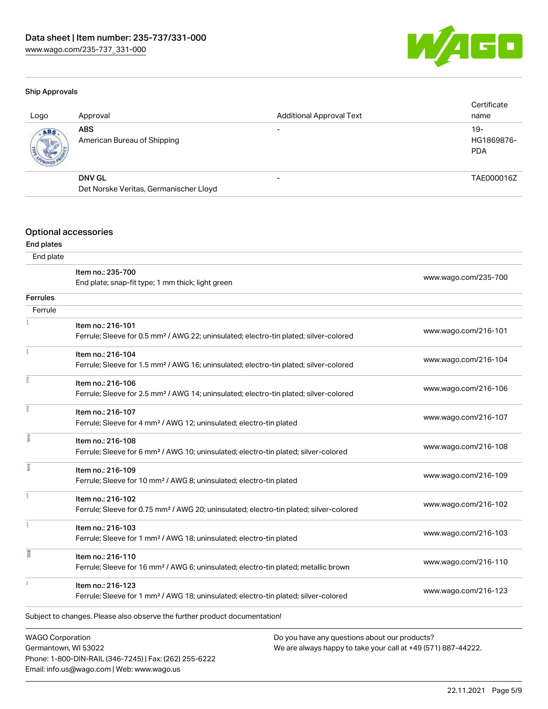Phone: 1-800-DIN-RAIL (346-7245) | Fax: (262) 255-6222

Email: info.us@wago.com | Web: www.wago.us



#### Ship Approvals

| Logo | Approval                                  | <b>Additional Approval Text</b> | Certificate<br>name               |
|------|-------------------------------------------|---------------------------------|-----------------------------------|
| ABS. | <b>ABS</b><br>American Bureau of Shipping |                                 | $19-$<br>HG1869876-<br><b>PDA</b> |
|      | <b>DNV GL</b>                             |                                 | TAE000016Z                        |
|      | Det Norske Veritas, Germanischer Lloyd    |                                 |                                   |
|      |                                           |                                 |                                   |

#### Optional accessories

#### End plates

| End plate                                       |                                                                                                                         |                                                                                                                |                      |
|-------------------------------------------------|-------------------------------------------------------------------------------------------------------------------------|----------------------------------------------------------------------------------------------------------------|----------------------|
|                                                 | Item no.: 235-700<br>End plate; snap-fit type; 1 mm thick; light green                                                  |                                                                                                                | www.wago.com/235-700 |
| <b>Ferrules</b>                                 |                                                                                                                         |                                                                                                                |                      |
| Ferrule                                         |                                                                                                                         |                                                                                                                |                      |
|                                                 | Item no.: 216-101<br>Ferrule; Sleeve for 0.5 mm <sup>2</sup> / AWG 22; uninsulated; electro-tin plated; silver-colored  |                                                                                                                | www.wago.com/216-101 |
|                                                 | Item no.: 216-104<br>Ferrule; Sleeve for 1.5 mm <sup>2</sup> / AWG 16; uninsulated; electro-tin plated; silver-colored  |                                                                                                                | www.wago.com/216-104 |
|                                                 | Item no.: 216-106<br>Ferrule; Sleeve for 2.5 mm <sup>2</sup> / AWG 14; uninsulated; electro-tin plated; silver-colored  |                                                                                                                | www.wago.com/216-106 |
| Ĭ                                               | Item no.: 216-107<br>Ferrule; Sleeve for 4 mm <sup>2</sup> / AWG 12; uninsulated; electro-tin plated                    |                                                                                                                | www.wago.com/216-107 |
|                                                 | Item no.: 216-108<br>Ferrule; Sleeve for 6 mm <sup>2</sup> / AWG 10; uninsulated; electro-tin plated; silver-colored    |                                                                                                                | www.wago.com/216-108 |
| ĵ                                               | Item no.: 216-109<br>Ferrule; Sleeve for 10 mm <sup>2</sup> / AWG 8; uninsulated; electro-tin plated                    |                                                                                                                | www.wago.com/216-109 |
|                                                 | Item no.: 216-102<br>Ferrule; Sleeve for 0.75 mm <sup>2</sup> / AWG 20; uninsulated; electro-tin plated; silver-colored |                                                                                                                | www.wago.com/216-102 |
|                                                 | Item no.: 216-103<br>Ferrule; Sleeve for 1 mm <sup>2</sup> / AWG 18; uninsulated; electro-tin plated                    |                                                                                                                | www.wago.com/216-103 |
| I                                               | Item no.: 216-110<br>Ferrule; Sleeve for 16 mm <sup>2</sup> / AWG 6; uninsulated; electro-tin plated; metallic brown    |                                                                                                                | www.wago.com/216-110 |
|                                                 | Item no.: 216-123<br>Ferrule; Sleeve for 1 mm <sup>2</sup> / AWG 18; uninsulated; electro-tin plated; silver-colored    |                                                                                                                | www.wago.com/216-123 |
|                                                 | Subject to changes. Please also observe the further product documentation!                                              |                                                                                                                |                      |
| <b>WAGO Corporation</b><br>Germantown, WI 53022 |                                                                                                                         | Do you have any questions about our products?<br>We are always happy to take your call at +49 (571) 887-44222. |                      |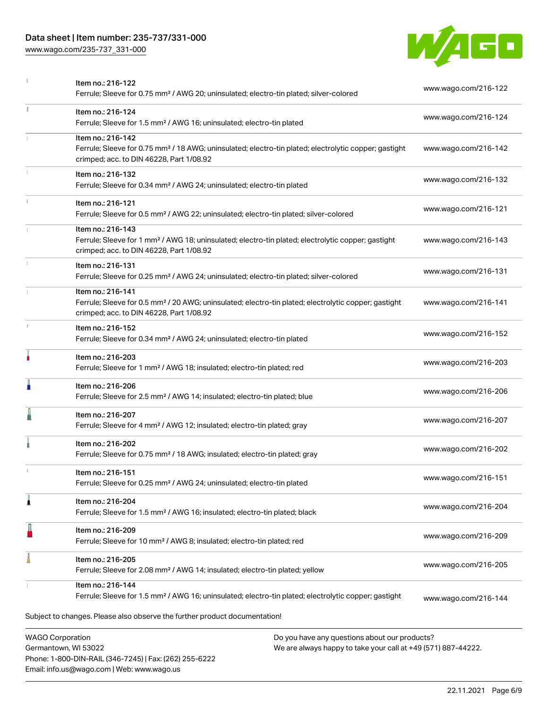Phone: 1-800-DIN-RAIL (346-7245) | Fax: (262) 255-6222

Email: info.us@wago.com | Web: www.wago.us

[www.wago.com/235-737\\_331-000](http://www.wago.com/235-737_331-000)



|    | Item no.: 216-122<br>Ferrule; Sleeve for 0.75 mm <sup>2</sup> / AWG 20; uninsulated; electro-tin plated; silver-colored                                                            | www.wago.com/216-122                                                                                           |  |  |
|----|------------------------------------------------------------------------------------------------------------------------------------------------------------------------------------|----------------------------------------------------------------------------------------------------------------|--|--|
| I. | Item no.: 216-124<br>Ferrule; Sleeve for 1.5 mm <sup>2</sup> / AWG 16; uninsulated; electro-tin plated                                                                             | www.wago.com/216-124                                                                                           |  |  |
|    | Item no.: 216-142<br>Ferrule; Sleeve for 0.75 mm <sup>2</sup> / 18 AWG; uninsulated; electro-tin plated; electrolytic copper; gastight<br>crimped; acc. to DIN 46228, Part 1/08.92 | www.wago.com/216-142                                                                                           |  |  |
|    | Item no.: 216-132<br>Ferrule; Sleeve for 0.34 mm <sup>2</sup> / AWG 24; uninsulated; electro-tin plated                                                                            | www.wago.com/216-132                                                                                           |  |  |
|    | Item no.: 216-121<br>Ferrule; Sleeve for 0.5 mm <sup>2</sup> / AWG 22; uninsulated; electro-tin plated; silver-colored                                                             | www.wago.com/216-121                                                                                           |  |  |
|    | Item no.: 216-143<br>Ferrule; Sleeve for 1 mm <sup>2</sup> / AWG 18; uninsulated; electro-tin plated; electrolytic copper; gastight<br>crimped; acc. to DIN 46228, Part 1/08.92    | www.wago.com/216-143                                                                                           |  |  |
|    | Item no.: 216-131<br>Ferrule; Sleeve for 0.25 mm <sup>2</sup> / AWG 24; uninsulated; electro-tin plated; silver-colored                                                            | www.wago.com/216-131                                                                                           |  |  |
|    | Item no.: 216-141<br>Ferrule; Sleeve for 0.5 mm <sup>2</sup> / 20 AWG; uninsulated; electro-tin plated; electrolytic copper; gastight<br>crimped; acc. to DIN 46228, Part 1/08.92  | www.wago.com/216-141                                                                                           |  |  |
| J. | Item no.: 216-152<br>Ferrule; Sleeve for 0.34 mm <sup>2</sup> / AWG 24; uninsulated; electro-tin plated                                                                            | www.wago.com/216-152                                                                                           |  |  |
|    | Item no.: 216-203<br>Ferrule; Sleeve for 1 mm <sup>2</sup> / AWG 18; insulated; electro-tin plated; red                                                                            | www.wago.com/216-203                                                                                           |  |  |
|    | Item no.: 216-206<br>Ferrule; Sleeve for 2.5 mm <sup>2</sup> / AWG 14; insulated; electro-tin plated; blue                                                                         | www.wago.com/216-206                                                                                           |  |  |
|    | Item no.: 216-207<br>Ferrule; Sleeve for 4 mm <sup>2</sup> / AWG 12; insulated; electro-tin plated; gray                                                                           | www.wago.com/216-207                                                                                           |  |  |
|    | Item no.: 216-202<br>Ferrule; Sleeve for 0.75 mm <sup>2</sup> / 18 AWG; insulated; electro-tin plated; gray                                                                        | www.wago.com/216-202                                                                                           |  |  |
|    | Item no.: 216-151<br>Ferrule; Sleeve for 0.25 mm <sup>2</sup> / AWG 24; uninsulated; electro-tin plated                                                                            | www.wago.com/216-151                                                                                           |  |  |
| 1  | Item no.: 216-204<br>Ferrule; Sleeve for 1.5 mm <sup>2</sup> / AWG 16; insulated; electro-tin plated; black                                                                        | www.wago.com/216-204                                                                                           |  |  |
|    | Item no.: 216-209<br>Ferrule; Sleeve for 10 mm <sup>2</sup> / AWG 8; insulated; electro-tin plated; red                                                                            | www.wago.com/216-209                                                                                           |  |  |
|    | Item no.: 216-205<br>Ferrule; Sleeve for 2.08 mm <sup>2</sup> / AWG 14; insulated; electro-tin plated; yellow                                                                      | www.wago.com/216-205                                                                                           |  |  |
|    | Item no.: 216-144<br>Ferrule; Sleeve for 1.5 mm <sup>2</sup> / AWG 16; uninsulated; electro-tin plated; electrolytic copper; gastight                                              | www.wago.com/216-144                                                                                           |  |  |
|    | Subject to changes. Please also observe the further product documentation!                                                                                                         |                                                                                                                |  |  |
|    | <b>WAGO Corporation</b><br>Germantown, WI 53022                                                                                                                                    | Do you have any questions about our products?<br>We are always happy to take your call at +49 (571) 887-44222. |  |  |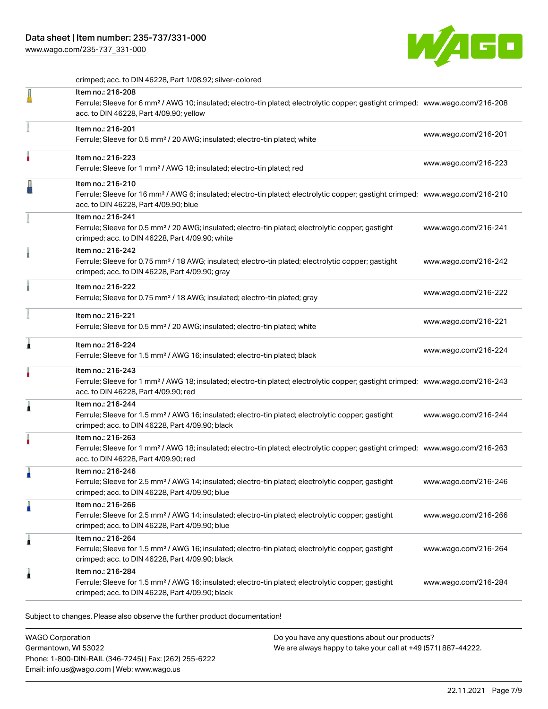[www.wago.com/235-737\\_331-000](http://www.wago.com/235-737_331-000)



crimped; acc. to DIN 46228, Part 1/08.92; silver-colored

| $\sigma$ impout about to Dirk Hozzo, it are mootoz, on for looks                                                                                                                                           |                      |
|------------------------------------------------------------------------------------------------------------------------------------------------------------------------------------------------------------|----------------------|
| Item no.: 216-208<br>Ferrule; Sleeve for 6 mm <sup>2</sup> / AWG 10; insulated; electro-tin plated; electrolytic copper; gastight crimped; www.wago.com/216-208<br>acc. to DIN 46228, Part 4/09.90; yellow |                      |
| Item no.: 216-201<br>Ferrule; Sleeve for 0.5 mm <sup>2</sup> / 20 AWG; insulated; electro-tin plated; white                                                                                                | www.wago.com/216-201 |
| Item no.: 216-223<br>Ferrule; Sleeve for 1 mm <sup>2</sup> / AWG 18; insulated; electro-tin plated; red                                                                                                    | www.wago.com/216-223 |
| Item no.: 216-210<br>Ferrule; Sleeve for 16 mm <sup>2</sup> / AWG 6; insulated; electro-tin plated; electrolytic copper; gastight crimped; www.wago.com/216-210<br>acc. to DIN 46228, Part 4/09.90; blue   |                      |
| Item no.: 216-241<br>Ferrule; Sleeve for 0.5 mm <sup>2</sup> / 20 AWG; insulated; electro-tin plated; electrolytic copper; gastight<br>crimped; acc. to DIN 46228, Part 4/09.90; white                     | www.wago.com/216-241 |
| Item no.: 216-242<br>Ferrule; Sleeve for 0.75 mm <sup>2</sup> / 18 AWG; insulated; electro-tin plated; electrolytic copper; gastight<br>crimped; acc. to DIN 46228, Part 4/09.90; gray                     | www.wago.com/216-242 |
| Item no.: 216-222<br>Ferrule; Sleeve for 0.75 mm <sup>2</sup> / 18 AWG; insulated; electro-tin plated; gray                                                                                                | www.wago.com/216-222 |
| Item no.: 216-221<br>Ferrule; Sleeve for 0.5 mm <sup>2</sup> / 20 AWG; insulated; electro-tin plated; white                                                                                                | www.wago.com/216-221 |
| Item no.: 216-224<br>Ferrule; Sleeve for 1.5 mm <sup>2</sup> / AWG 16; insulated; electro-tin plated; black                                                                                                | www.wago.com/216-224 |
| Item no.: 216-243<br>Ferrule; Sleeve for 1 mm <sup>2</sup> / AWG 18; insulated; electro-tin plated; electrolytic copper; gastight crimped; www.wago.com/216-243<br>acc. to DIN 46228, Part 4/09.90; red    |                      |
| Item no.: 216-244<br>Ferrule; Sleeve for 1.5 mm <sup>2</sup> / AWG 16; insulated; electro-tin plated; electrolytic copper; gastight<br>crimped; acc. to DIN 46228, Part 4/09.90; black                     | www.wago.com/216-244 |
| Item no.: 216-263<br>Ferrule; Sleeve for 1 mm <sup>2</sup> / AWG 18; insulated; electro-tin plated; electrolytic copper; gastight crimped; www.wago.com/216-263<br>acc. to DIN 46228, Part 4/09.90; red    |                      |
| Item no.: 216-246<br>Ferrule; Sleeve for 2.5 mm <sup>2</sup> / AWG 14; insulated; electro-tin plated; electrolytic copper; gastight<br>crimped; acc. to DIN 46228, Part 4/09.90; blue                      | www.wago.com/216-246 |
| Item no.: 216-266<br>Ferrule; Sleeve for 2.5 mm <sup>2</sup> / AWG 14; insulated; electro-tin plated; electrolytic copper; gastight<br>crimped; acc. to DIN 46228, Part 4/09.90; blue                      | www.wago.com/216-266 |
| Item no.: 216-264<br>Ferrule; Sleeve for 1.5 mm <sup>2</sup> / AWG 16; insulated; electro-tin plated; electrolytic copper; gastight<br>crimped; acc. to DIN 46228, Part 4/09.90; black                     | www.wago.com/216-264 |
| Item no.: 216-284<br>Ferrule; Sleeve for 1.5 mm <sup>2</sup> / AWG 16; insulated; electro-tin plated; electrolytic copper; gastight<br>crimped; acc. to DIN 46228, Part 4/09.90; black                     | www.wago.com/216-284 |

Subject to changes. Please also observe the further product documentation!

WAGO Corporation Germantown, WI 53022 Phone: 1-800-DIN-RAIL (346-7245) | Fax: (262) 255-6222 Email: info.us@wago.com | Web: www.wago.us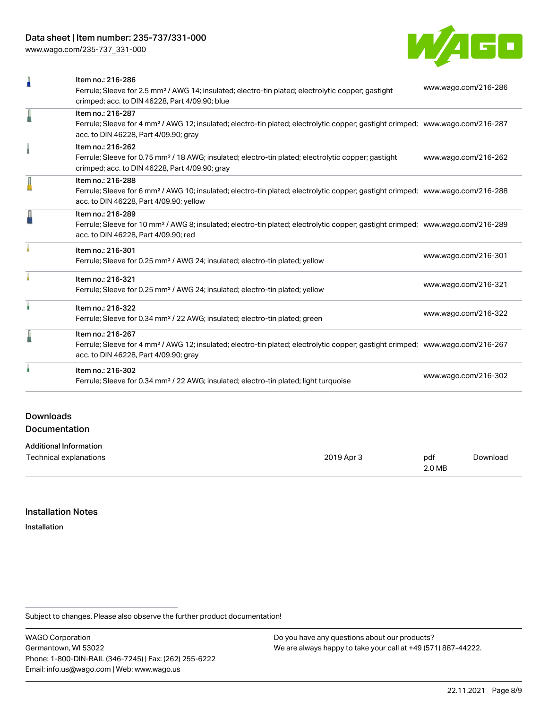[www.wago.com/235-737\\_331-000](http://www.wago.com/235-737_331-000)



|                                          | Item no.: 216-286<br>Ferrule; Sleeve for 2.5 mm <sup>2</sup> / AWG 14; insulated; electro-tin plated; electrolytic copper; gastight                                                                        | www.wago.com/216-286 |
|------------------------------------------|------------------------------------------------------------------------------------------------------------------------------------------------------------------------------------------------------------|----------------------|
|                                          | crimped; acc. to DIN 46228, Part 4/09.90; blue                                                                                                                                                             |                      |
| I                                        | Item no.: 216-287<br>Ferrule; Sleeve for 4 mm <sup>2</sup> / AWG 12; insulated; electro-tin plated; electrolytic copper; gastight crimped; www.wago.com/216-287<br>acc. to DIN 46228, Part 4/09.90; gray   |                      |
|                                          | Item no.: 216-262<br>Ferrule; Sleeve for 0.75 mm <sup>2</sup> / 18 AWG; insulated; electro-tin plated; electrolytic copper; gastight<br>crimped; acc. to DIN 46228, Part 4/09.90; gray                     | www.wago.com/216-262 |
| I                                        | Item no.: 216-288<br>Ferrule; Sleeve for 6 mm <sup>2</sup> / AWG 10; insulated; electro-tin plated; electrolytic copper; gastight crimped; www.wago.com/216-288<br>acc. to DIN 46228, Part 4/09.90; yellow |                      |
| ł                                        | Item no.: 216-289<br>Ferrule; Sleeve for 10 mm <sup>2</sup> / AWG 8; insulated; electro-tin plated; electrolytic copper; gastight crimped; www.wago.com/216-289<br>acc. to DIN 46228, Part 4/09.90; red    |                      |
|                                          | Item no.: 216-301<br>Ferrule; Sleeve for 0.25 mm <sup>2</sup> / AWG 24; insulated; electro-tin plated; yellow                                                                                              | www.wago.com/216-301 |
|                                          | Item no.: 216-321<br>Ferrule; Sleeve for 0.25 mm <sup>2</sup> / AWG 24; insulated; electro-tin plated; yellow                                                                                              | www.wago.com/216-321 |
|                                          | Item no.: 216-322<br>Ferrule; Sleeve for 0.34 mm <sup>2</sup> / 22 AWG; insulated; electro-tin plated; green                                                                                               | www.wago.com/216-322 |
|                                          | Item no.: 216-267<br>Ferrule; Sleeve for 4 mm <sup>2</sup> / AWG 12; insulated; electro-tin plated; electrolytic copper; gastight crimped; www.wago.com/216-267<br>acc. to DIN 46228, Part 4/09.90; gray   |                      |
|                                          | Item no.: 216-302<br>Ferrule; Sleeve for 0.34 mm <sup>2</sup> / 22 AWG; insulated; electro-tin plated; light turquoise                                                                                     | www.wago.com/216-302 |
| <b>Downloads</b><br><b>Documentation</b> |                                                                                                                                                                                                            |                      |

| Technical explanations | 2019 Apr 3 | pdf    | Download |
|------------------------|------------|--------|----------|
|                        |            | 2.0 MB |          |

### Installation Notes

Additional Information

Installation

Subject to changes. Please also observe the further product documentation!

WAGO Corporation Germantown, WI 53022 Phone: 1-800-DIN-RAIL (346-7245) | Fax: (262) 255-6222 Email: info.us@wago.com | Web: www.wago.us